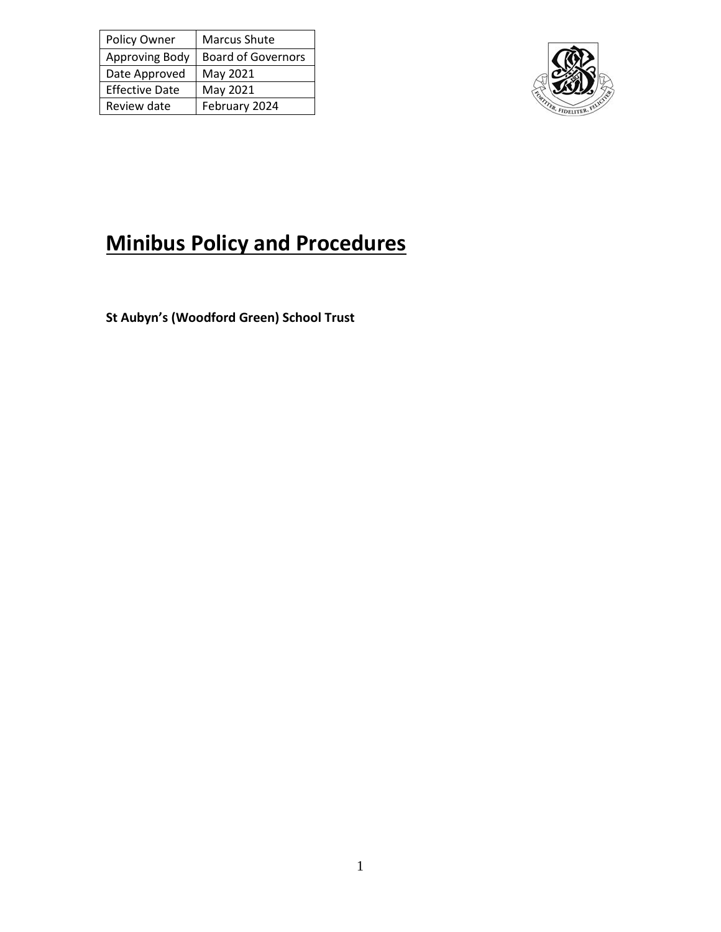| Policy Owner          | <b>Marcus Shute</b>       |
|-----------------------|---------------------------|
| Approving Body        | <b>Board of Governors</b> |
| Date Approved         | May 2021                  |
| <b>Effective Date</b> | May 2021                  |
| Review date           | February 2024             |



# **Minibus Policy and Procedures**

**St Aubyn's (Woodford Green) School Trust**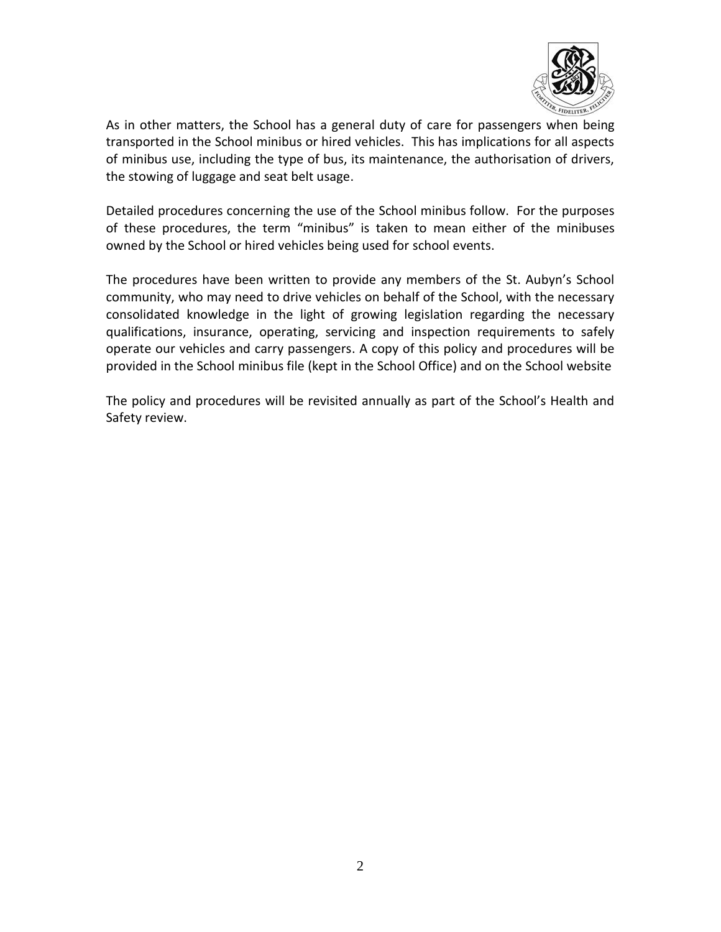

As in other matters, the School has a general duty of care for passengers when being transported in the School minibus or hired vehicles. This has implications for all aspects of minibus use, including the type of bus, its maintenance, the authorisation of drivers, the stowing of luggage and seat belt usage.

Detailed procedures concerning the use of the School minibus follow. For the purposes of these procedures, the term "minibus" is taken to mean either of the minibuses owned by the School or hired vehicles being used for school events.

The procedures have been written to provide any members of the St. Aubyn's School community, who may need to drive vehicles on behalf of the School, with the necessary consolidated knowledge in the light of growing legislation regarding the necessary qualifications, insurance, operating, servicing and inspection requirements to safely operate our vehicles and carry passengers. A copy of this policy and procedures will be provided in the School minibus file (kept in the School Office) and on the School website

The policy and procedures will be revisited annually as part of the School's Health and Safety review.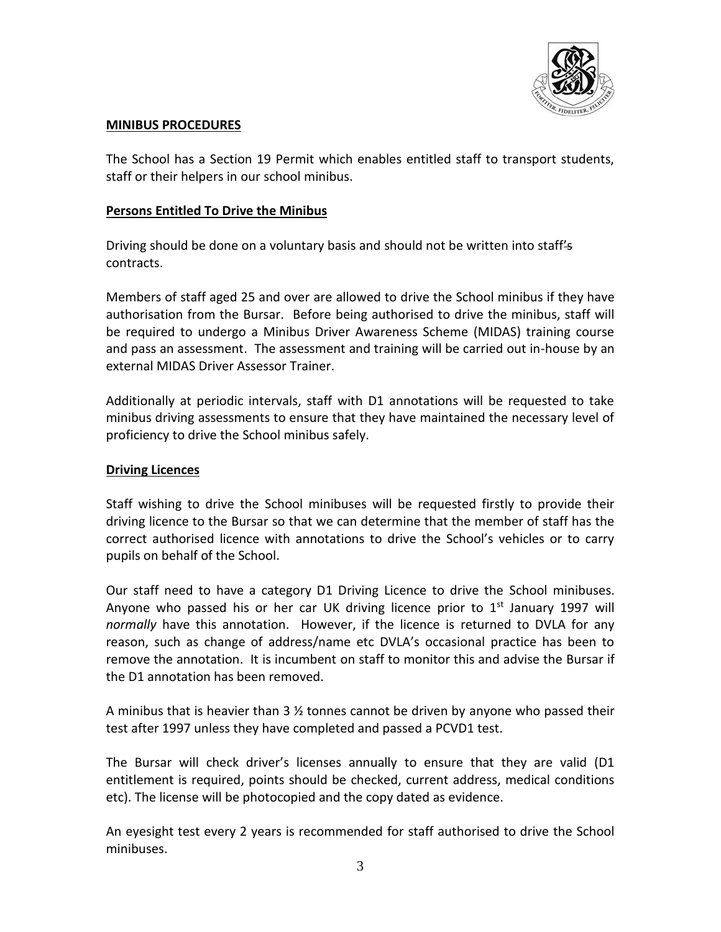

# **MINIBUS PROCEDURES**

The School has a Section 19 Permit which enables entitled staff to transport students, staff or their helpers in our school minibus.

# **Persons Entitled To Drive the Minibus**

Driving should be done on a voluntary basis and should not be written into staff's contracts.

Members of staff aged 25 and over are allowed to drive the School minibus if they have authorisation from the Bursar. Before being authorised to drive the minibus, staff will be required to undergo a Minibus Driver Awareness Scheme (MIDAS) training course and pass an assessment. The assessment and training will be carried out in-house by an external MIDAS Driver Assessor Trainer.

Additionally at periodic intervals, staff with D1 annotations will be requested to take minibus driving assessments to ensure that they have maintained the necessary level of proficiency to drive the School minibus safely.

# **Driving Licences**

Staff wishing to drive the School minibuses will be requested firstly to provide their driving licence to the Bursar so that we can determine that the member of staff has the correct authorised licence with annotations to drive the School's vehicles or to carry pupils on behalf of the School.

Our staff need to have a category D1 Driving Licence to drive the School minibuses. Anyone who passed his or her car UK driving licence prior to  $1<sup>st</sup>$  January 1997 will *normally* have this annotation. However, if the licence is returned to DVLA for any reason, such as change of address/name etc DVLA's occasional practice has been to remove the annotation. It is incumbent on staff to monitor this and advise the Bursar if the D1 annotation has been removed.

A minibus that is heavier than 3  $\frac{1}{2}$  tonnes cannot be driven by anyone who passed their test after 1997 unless they have completed and passed a PCVD1 test.

The Bursar will check driver's licenses annually to ensure that they are valid (D1 entitlement is required, points should be checked, current address, medical conditions etc). The license will be photocopied and the copy dated as evidence.

An eyesight test every 2 years is recommended for staff authorised to drive the School minibuses.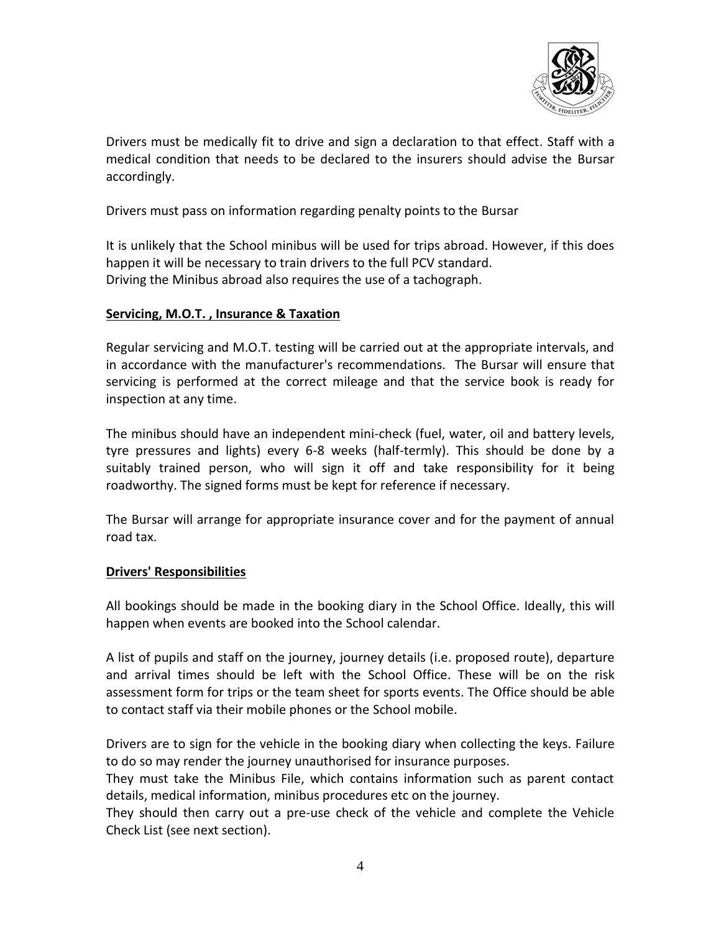

Drivers must be medically fit to drive and sign a declaration to that effect. Staff with a medical condition that needs to be declared to the insurers should advise the Bursar accordingly.

Drivers must pass on information regarding penalty points to the Bursar

It is unlikely that the School minibus will be used for trips abroad. However, if this does happen it will be necessary to train drivers to the full PCV standard. Driving the Minibus abroad also requires the use of a tachograph.

## **Servicing, M.O.T. , Insurance & Taxation**

Regular servicing and M.O.T. testing will be carried out at the appropriate intervals, and in accordance with the manufacturer's recommendations. The Bursar will ensure that servicing is performed at the correct mileage and that the service book is ready for inspection at any time.

The minibus should have an independent mini-check (fuel, water, oil and battery levels, tyre pressures and lights) every 6-8 weeks (half-termly). This should be done by a suitably trained person, who will sign it off and take responsibility for it being roadworthy. The signed forms must be kept for reference if necessary.

The Bursar will arrange for appropriate insurance cover and for the payment of annual road tax.

## **Drivers' Responsibilities**

All bookings should be made in the booking diary in the School Office. Ideally, this will happen when events are booked into the School calendar.

A list of pupils and staff on the journey, journey details (i.e. proposed route), departure and arrival times should be left with the School Office. These will be on the risk assessment form for trips or the team sheet for sports events. The Office should be able to contact staff via their mobile phones or the School mobile.

Drivers are to sign for the vehicle in the booking diary when collecting the keys. Failure to do so may render the journey unauthorised for insurance purposes.

They must take the Minibus File, which contains information such as parent contact details, medical information, minibus procedures etc on the journey.

They should then carry out a pre-use check of the vehicle and complete the Vehicle Check List (see next section).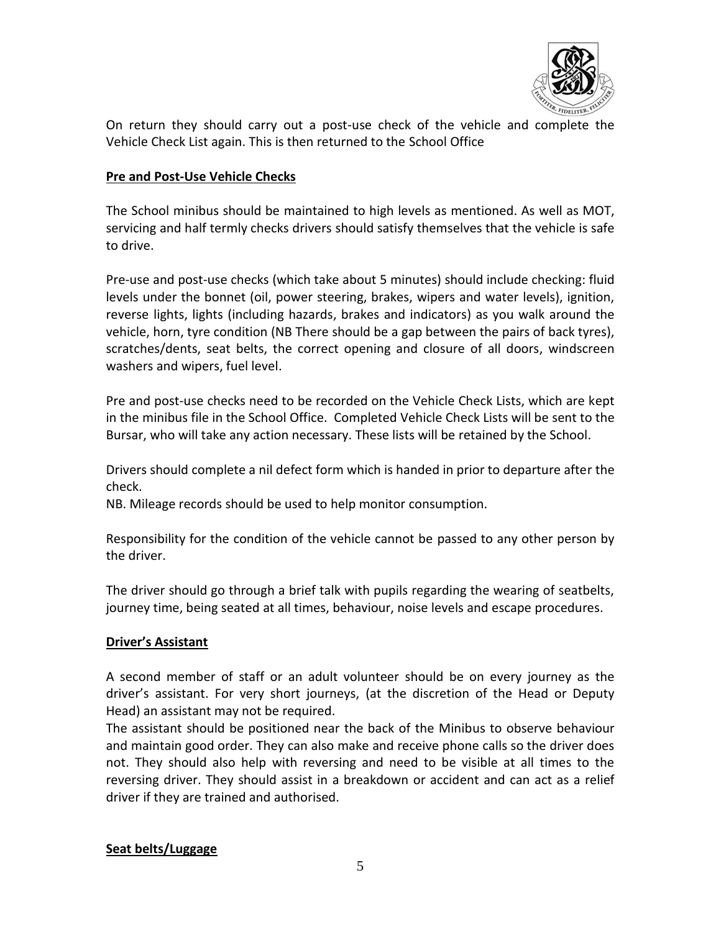

On return they should carry out a post-use check of the vehicle and complete the Vehicle Check List again. This is then returned to the School Office

# **Pre and Post-Use Vehicle Checks**

The School minibus should be maintained to high levels as mentioned. As well as MOT, servicing and half termly checks drivers should satisfy themselves that the vehicle is safe to drive.

Pre-use and post-use checks (which take about 5 minutes) should include checking: fluid levels under the bonnet (oil, power steering, brakes, wipers and water levels), ignition, reverse lights, lights (including hazards, brakes and indicators) as you walk around the vehicle, horn, tyre condition (NB There should be a gap between the pairs of back tyres), scratches/dents, seat belts, the correct opening and closure of all doors, windscreen washers and wipers, fuel level.

Pre and post-use checks need to be recorded on the Vehicle Check Lists, which are kept in the minibus file in the School Office. Completed Vehicle Check Lists will be sent to the Bursar, who will take any action necessary. These lists will be retained by the School.

Drivers should complete a nil defect form which is handed in prior to departure after the check.

NB. Mileage records should be used to help monitor consumption.

Responsibility for the condition of the vehicle cannot be passed to any other person by the driver.

The driver should go through a brief talk with pupils regarding the wearing of seatbelts, journey time, being seated at all times, behaviour, noise levels and escape procedures.

## **Driver's Assistant**

A second member of staff or an adult volunteer should be on every journey as the driver's assistant. For very short journeys, (at the discretion of the Head or Deputy Head) an assistant may not be required.

The assistant should be positioned near the back of the Minibus to observe behaviour and maintain good order. They can also make and receive phone calls so the driver does not. They should also help with reversing and need to be visible at all times to the reversing driver. They should assist in a breakdown or accident and can act as a relief driver if they are trained and authorised.

## **Seat belts/Luggage**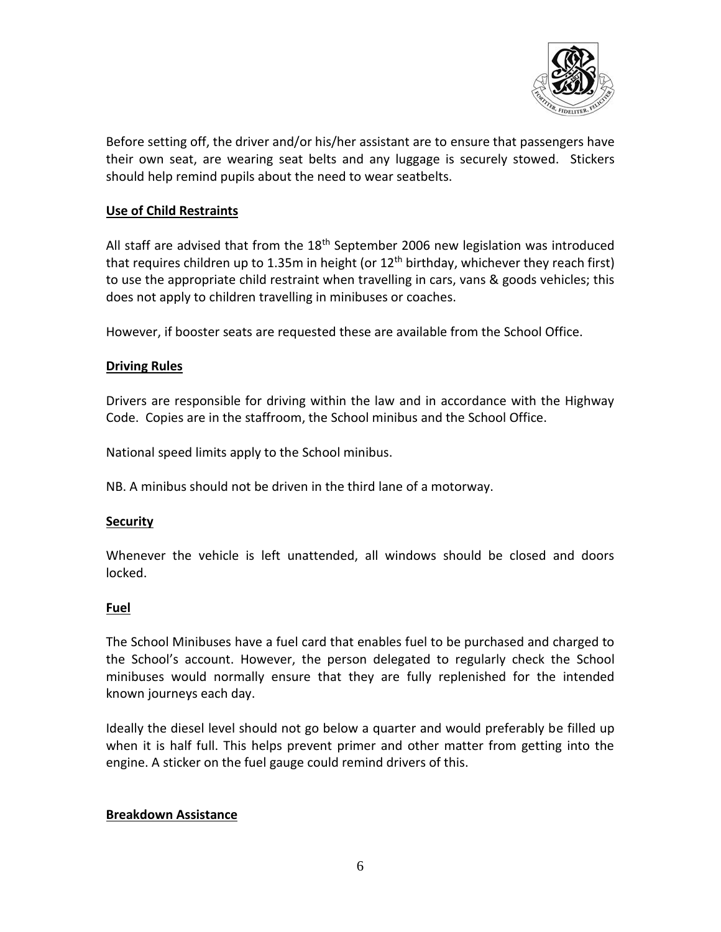

Before setting off, the driver and/or his/her assistant are to ensure that passengers have their own seat, are wearing seat belts and any luggage is securely stowed. Stickers should help remind pupils about the need to wear seatbelts.

# **Use of Child Restraints**

All staff are advised that from the  $18<sup>th</sup>$  September 2006 new legislation was introduced that requires children up to 1.35m in height (or  $12<sup>th</sup>$  birthday, whichever they reach first) to use the appropriate child restraint when travelling in cars, vans & goods vehicles; this does not apply to children travelling in minibuses or coaches.

However, if booster seats are requested these are available from the School Office.

## **Driving Rules**

Drivers are responsible for driving within the law and in accordance with the Highway Code. Copies are in the staffroom, the School minibus and the School Office.

National speed limits apply to the School minibus.

NB. A minibus should not be driven in the third lane of a motorway.

## **Security**

Whenever the vehicle is left unattended, all windows should be closed and doors locked.

#### **Fuel**

The School Minibuses have a fuel card that enables fuel to be purchased and charged to the School's account. However, the person delegated to regularly check the School minibuses would normally ensure that they are fully replenished for the intended known journeys each day.

Ideally the diesel level should not go below a quarter and would preferably be filled up when it is half full. This helps prevent primer and other matter from getting into the engine. A sticker on the fuel gauge could remind drivers of this.

## **Breakdown Assistance**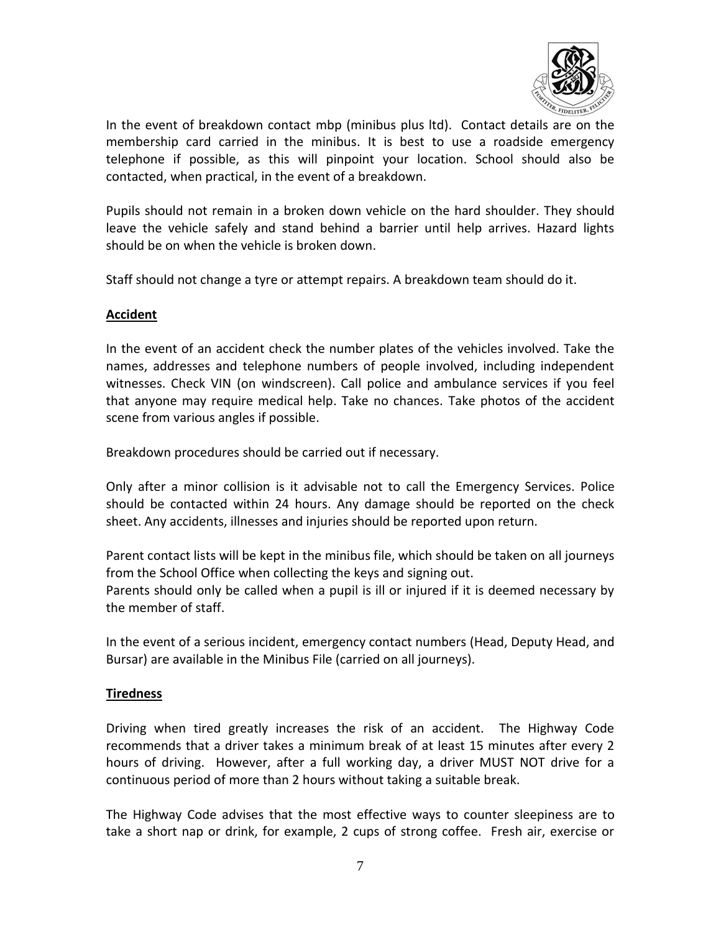

In the event of breakdown contact mbp (minibus plus ltd). Contact details are on the membership card carried in the minibus. It is best to use a roadside emergency telephone if possible, as this will pinpoint your location. School should also be contacted, when practical, in the event of a breakdown.

Pupils should not remain in a broken down vehicle on the hard shoulder. They should leave the vehicle safely and stand behind a barrier until help arrives. Hazard lights should be on when the vehicle is broken down.

Staff should not change a tyre or attempt repairs. A breakdown team should do it.

# **Accident**

In the event of an accident check the number plates of the vehicles involved. Take the names, addresses and telephone numbers of people involved, including independent witnesses. Check VIN (on windscreen). Call police and ambulance services if you feel that anyone may require medical help. Take no chances. Take photos of the accident scene from various angles if possible.

Breakdown procedures should be carried out if necessary.

Only after a minor collision is it advisable not to call the Emergency Services. Police should be contacted within 24 hours. Any damage should be reported on the check sheet. Any accidents, illnesses and injuries should be reported upon return.

Parent contact lists will be kept in the minibus file, which should be taken on all journeys from the School Office when collecting the keys and signing out. Parents should only be called when a pupil is ill or injured if it is deemed necessary by the member of staff.

In the event of a serious incident, emergency contact numbers (Head, Deputy Head, and Bursar) are available in the Minibus File (carried on all journeys).

## **Tiredness**

Driving when tired greatly increases the risk of an accident. The Highway Code recommends that a driver takes a minimum break of at least 15 minutes after every 2 hours of driving. However, after a full working day, a driver MUST NOT drive for a continuous period of more than 2 hours without taking a suitable break.

The Highway Code advises that the most effective ways to counter sleepiness are to take a short nap or drink, for example, 2 cups of strong coffee. Fresh air, exercise or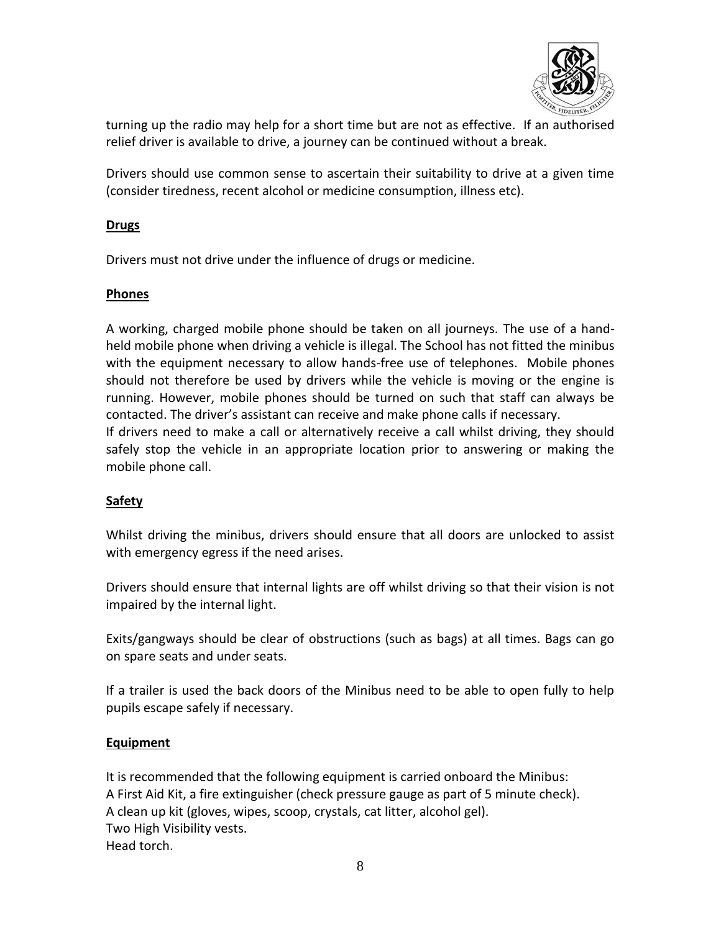

turning up the radio may help for a short time but are not as effective. If an authorised relief driver is available to drive, a journey can be continued without a break.

Drivers should use common sense to ascertain their suitability to drive at a given time (consider tiredness, recent alcohol or medicine consumption, illness etc).

# **Drugs**

Drivers must not drive under the influence of drugs or medicine.

# **Phones**

A working, charged mobile phone should be taken on all journeys. The use of a handheld mobile phone when driving a vehicle is illegal. The School has not fitted the minibus with the equipment necessary to allow hands-free use of telephones. Mobile phones should not therefore be used by drivers while the vehicle is moving or the engine is running. However, mobile phones should be turned on such that staff can always be contacted. The driver's assistant can receive and make phone calls if necessary.

If drivers need to make a call or alternatively receive a call whilst driving, they should safely stop the vehicle in an appropriate location prior to answering or making the mobile phone call.

# **Safety**

Whilst driving the minibus, drivers should ensure that all doors are unlocked to assist with emergency egress if the need arises.

Drivers should ensure that internal lights are off whilst driving so that their vision is not impaired by the internal light.

Exits/gangways should be clear of obstructions (such as bags) at all times. Bags can go on spare seats and under seats.

If a trailer is used the back doors of the Minibus need to be able to open fully to help pupils escape safely if necessary.

# **Equipment**

It is recommended that the following equipment is carried onboard the Minibus: A First Aid Kit, a fire extinguisher (check pressure gauge as part of 5 minute check). A clean up kit (gloves, wipes, scoop, crystals, cat litter, alcohol gel). Two High Visibility vests. Head torch.